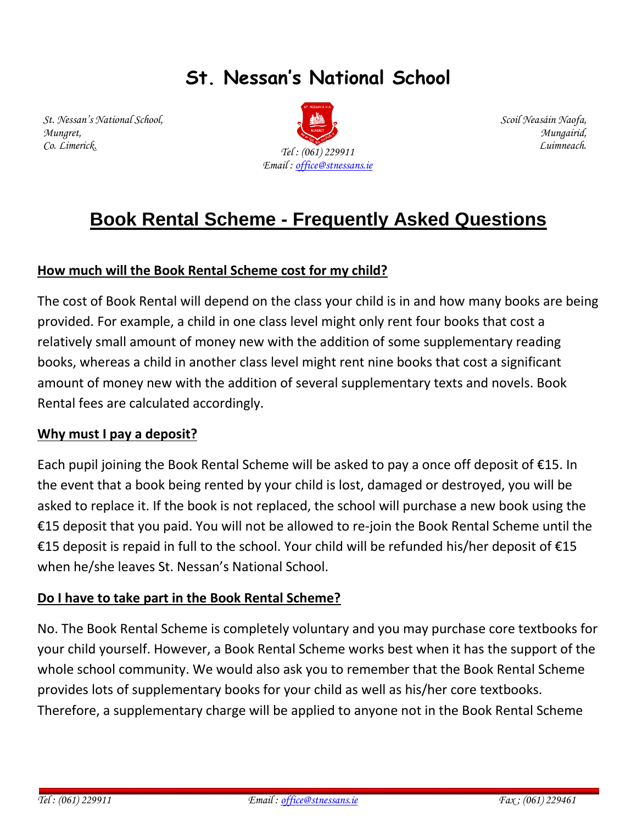# **St. Nessan's National School**

*St. Nessan's National School, Mungret, Co. Limerick.*



*Scoil Neasáin Naofa, Mungairid, Luimneach.*

# **Book Rental Scheme - Frequently Asked Questions**

# **How much will the Book Rental Scheme cost for my child?**

The cost of Book Rental will depend on the class your child is in and how many books are being provided. For example, a child in one class level might only rent four books that cost a relatively small amount of money new with the addition of some supplementary reading books, whereas a child in another class level might rent nine books that cost a significant amount of money new with the addition of several supplementary texts and novels. Book Rental fees are calculated accordingly.

## **Why must I pay a deposit?**

Each pupil joining the Book Rental Scheme will be asked to pay a once off deposit of  $E15$ . In the event that a book being rented by your child is lost, damaged or destroyed, you will be asked to replace it. If the book is not replaced, the school will purchase a new book using the €15 deposit that you paid. You will not be allowed to re-join the Book Rental Scheme until the €15 deposit is repaid in full to the school. Your child will be refunded his/her deposit of  $€15$ when he/she leaves St. Nessan's National School.

## **Do I have to take part in the Book Rental Scheme?**

No. The Book Rental Scheme is completely voluntary and you may purchase core textbooks for your child yourself. However, a Book Rental Scheme works best when it has the support of the whole school community. We would also ask you to remember that the Book Rental Scheme provides lots of supplementary books for your child as well as his/her core textbooks. Therefore, a supplementary charge will be applied to anyone not in the Book Rental Scheme